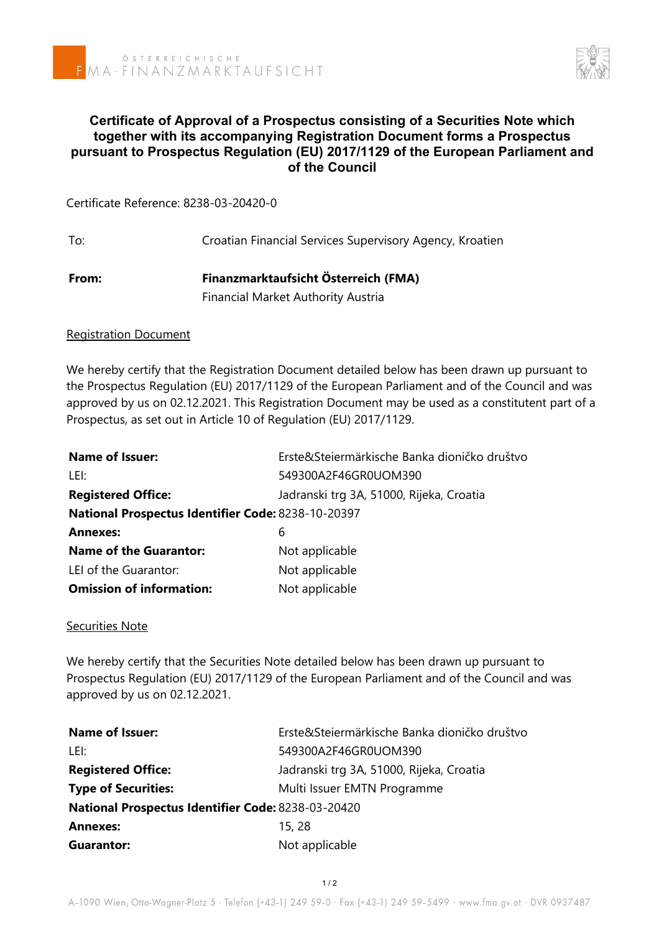

# **Certificate of Approval of a Prospectus consisting of a Securities Note which together with its accompanying Registration Document forms a Prospectus pursuant to Prospectus Regulation (EU) 2017/1129 of the European Parliament and of the Council**

Certificate Reference: 8238-03-20420-0

To: Croatian Financial Services Supervisory Agency, Kroatien **From: Finanzmarktaufsicht Österreich (FMA)** Financial Market Authority Austria

### Registration Document

We hereby certify that the Registration Document detailed below has been drawn up pursuant to the Prospectus Regulation (EU) 2017/1129 of the European Parliament and of the Council and was approved by us on 02.12.2021. This Registration Document may be used as a constitutent part of a Prospectus, as set out in Article 10 of Regulation (EU) 2017/1129.

| <b>Name of Issuer:</b>                             | Erste&Steiermärkische Banka dioničko društvo |  |
|----------------------------------------------------|----------------------------------------------|--|
| LEI:                                               | 549300A2F46GR0UOM390                         |  |
| <b>Registered Office:</b>                          | Jadranski trg 3A, 51000, Rijeka, Croatia     |  |
| National Prospectus Identifier Code: 8238-10-20397 |                                              |  |
| <b>Annexes:</b>                                    | 6                                            |  |
| <b>Name of the Guarantor:</b>                      | Not applicable                               |  |
| LEI of the Guarantor:                              | Not applicable                               |  |
| <b>Omission of information:</b>                    | Not applicable                               |  |

### Securities Note

We hereby certify that the Securities Note detailed below has been drawn up pursuant to Prospectus Regulation (EU) 2017/1129 of the European Parliament and of the Council and was approved by us on 02.12.2021.

| <b>Name of Issuer:</b>                                    | Erste&Steiermärkische Banka dioničko društvo |  |
|-----------------------------------------------------------|----------------------------------------------|--|
| LEI:                                                      | 549300A2F46GR0UOM390                         |  |
| <b>Registered Office:</b>                                 | Jadranski trg 3A, 51000, Rijeka, Croatia     |  |
| <b>Type of Securities:</b>                                | Multi Issuer EMTN Programme                  |  |
| <b>National Prospectus Identifier Code: 8238-03-20420</b> |                                              |  |
| <b>Annexes:</b>                                           | 15, 28                                       |  |
| Guarantor:                                                | Not applicable                               |  |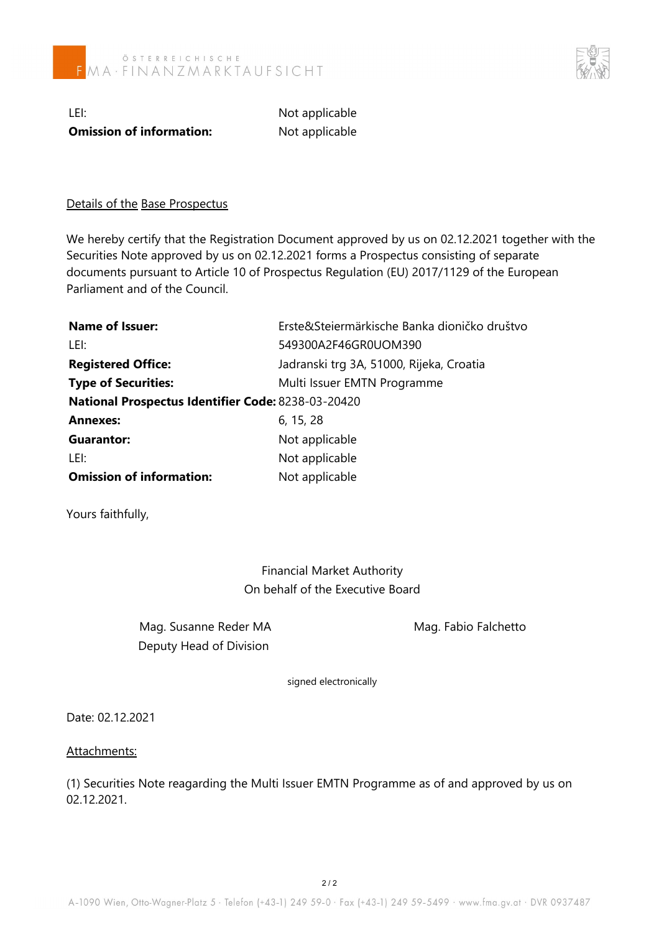

LEI: Not applicable **Omission of information:** Not applicable

## Details of the Base Prospectus

We hereby certify that the Registration Document approved by us on 02.12.2021 together with the Securities Note approved by us on 02.12.2021 forms a Prospectus consisting of separate documents pursuant to Article 10 of Prospectus Regulation (EU) 2017/1129 of the European Parliament and of the Council.

| <b>Name of Issuer:</b>                             | Erste&Steiermärkische Banka dioničko društvo |  |
|----------------------------------------------------|----------------------------------------------|--|
| LEI:                                               | 549300A2F46GR0UOM390                         |  |
| <b>Registered Office:</b>                          | Jadranski trg 3A, 51000, Rijeka, Croatia     |  |
| <b>Type of Securities:</b>                         | Multi Issuer EMTN Programme                  |  |
| National Prospectus Identifier Code: 8238-03-20420 |                                              |  |
| <b>Annexes:</b>                                    | 6, 15, 28                                    |  |
| Guarantor:                                         | Not applicable                               |  |
| LEI:                                               | Not applicable                               |  |
| <b>Omission of information:</b>                    | Not applicable                               |  |

Yours faithfully,

Financial Market Authority On behalf of the Executive Board

Mag. Susanne Reder MA Mag. Fabio Falchetto Deputy Head of Division

signed electronically

Date: 02.12.2021

### Attachments:

(1) Securities Note reagarding the Multi Issuer EMTN Programme as of and approved by us on 02.12.2021.